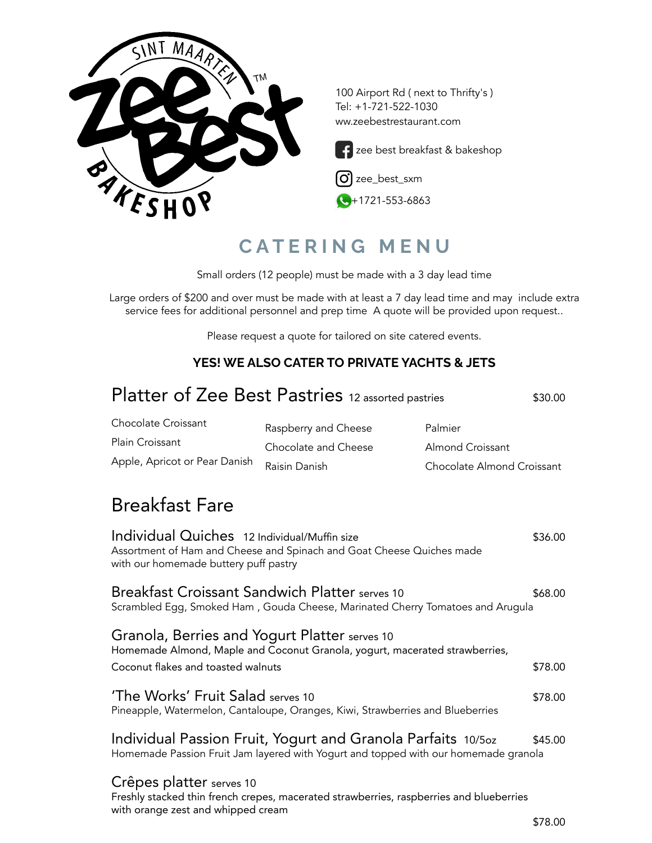

### **C A T E R I N G M E N U**

Small orders (12 people) must be made with a 3 day lead time

Large orders of \$200 and over must be made with at least a 7 day lead time and may include extra service fees for additional personnel and prep time A quote will be provided upon request..

Please request a quote for tailored on site catered events.

#### **YES! WE ALSO CATER TO PRIVATE YACHTS & JETS**

| Platter of Zee Best Pastries 12 assorted pastries                                                                                       |                                                                                                                                                     | \$30.00                                                   |         |
|-----------------------------------------------------------------------------------------------------------------------------------------|-----------------------------------------------------------------------------------------------------------------------------------------------------|-----------------------------------------------------------|---------|
| <b>Chocolate Croissant</b><br><b>Plain Croissant</b><br>Apple, Apricot or Pear Danish                                                   | Raspberry and Cheese<br>Chocolate and Cheese<br>Raisin Danish                                                                                       | Palmier<br>Almond Croissant<br>Chocolate Almond Croissant |         |
| <b>Breakfast Fare</b>                                                                                                                   |                                                                                                                                                     |                                                           |         |
| Individual Quiches 12 Individual/Muffin size<br>with our homemade buttery puff pastry                                                   | Assortment of Ham and Cheese and Spinach and Goat Cheese Quiches made                                                                               |                                                           | \$36.00 |
| <b>Breakfast Croissant Sandwich Platter serves 10</b><br>Scrambled Egg, Smoked Ham, Gouda Cheese, Marinated Cherry Tomatoes and Arugula |                                                                                                                                                     |                                                           | \$68.00 |
| Granola, Berries and Yogurt Platter serves 10<br>Coconut flakes and toasted walnuts                                                     | Homemade Almond, Maple and Coconut Granola, yogurt, macerated strawberries,                                                                         |                                                           | \$78.00 |
| 'The Works' Fruit Salad serves 10<br>Pineapple, Watermelon, Cantaloupe, Oranges, Kiwi, Strawberries and Blueberries                     |                                                                                                                                                     |                                                           | \$78.00 |
|                                                                                                                                         | Individual Passion Fruit, Yogurt and Granola Parfaits 10/50z<br>Homemade Passion Fruit Jam layered with Yogurt and topped with our homemade granola |                                                           | \$45.00 |
| Crêpes platter serves 10                                                                                                                | Freshly stacked thin french crepes, macerated strawberries, raspberries and blueberries                                                             |                                                           |         |

with orange zest and whipped cream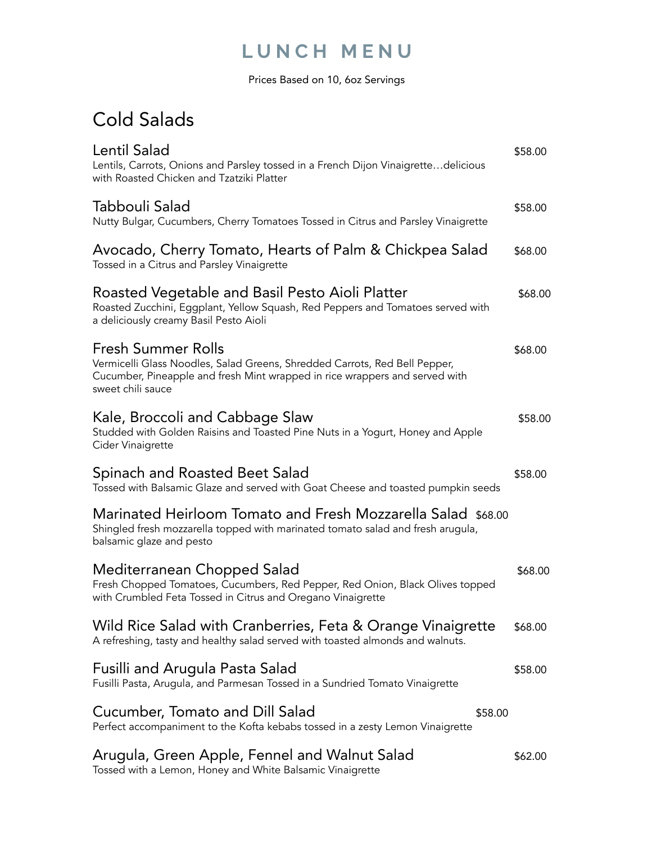### **L U N C H M E N U**

Prices Based on 10, 6oz Servings

## Cold Salads

| Lentil Salad<br>Lentils, Carrots, Onions and Parsley tossed in a French Dijon Vinaigrettedelicious<br>with Roasted Chicken and Tzatziki Platter                                                      | \$58.00 |
|------------------------------------------------------------------------------------------------------------------------------------------------------------------------------------------------------|---------|
| Tabbouli Salad<br>Nutty Bulgar, Cucumbers, Cherry Tomatoes Tossed in Citrus and Parsley Vinaigrette                                                                                                  | \$58.00 |
| Avocado, Cherry Tomato, Hearts of Palm & Chickpea Salad<br>Tossed in a Citrus and Parsley Vinaigrette                                                                                                | \$68.00 |
| Roasted Vegetable and Basil Pesto Aioli Platter<br>Roasted Zucchini, Eggplant, Yellow Squash, Red Peppers and Tomatoes served with<br>a deliciously creamy Basil Pesto Aioli                         | \$68.00 |
| Fresh Summer Rolls<br>Vermicelli Glass Noodles, Salad Greens, Shredded Carrots, Red Bell Pepper,<br>Cucumber, Pineapple and fresh Mint wrapped in rice wrappers and served with<br>sweet chili sauce | \$68.00 |
| Kale, Broccoli and Cabbage Slaw<br>Studded with Golden Raisins and Toasted Pine Nuts in a Yogurt, Honey and Apple<br>Cider Vinaigrette                                                               | \$58.00 |
| Spinach and Roasted Beet Salad<br>Tossed with Balsamic Glaze and served with Goat Cheese and toasted pumpkin seeds                                                                                   | \$58.00 |
| Marinated Heirloom Tomato and Fresh Mozzarella Salad \$68.00<br>Shingled fresh mozzarella topped with marinated tomato salad and fresh arugula,<br>balsamic glaze and pesto                          |         |
| Mediterranean Chopped Salad<br>Fresh Chopped Tomatoes, Cucumbers, Red Pepper, Red Onion, Black Olives topped<br>with Crumbled Feta Tossed in Citrus and Oregano Vinaigrette                          | \$68.00 |
| Wild Rice Salad with Cranberries, Feta & Orange Vinaigrette<br>A refreshing, tasty and healthy salad served with toasted almonds and walnuts.                                                        | \$68.00 |
| Fusilli and Arugula Pasta Salad<br>Fusilli Pasta, Arugula, and Parmesan Tossed in a Sundried Tomato Vinaigrette                                                                                      | \$58.00 |
| Cucumber, Tomato and Dill Salad<br>\$58.00<br>Perfect accompaniment to the Kofta kebabs tossed in a zesty Lemon Vinaigrette                                                                          |         |
| Arugula, Green Apple, Fennel and Walnut Salad<br>Tossed with a Lemon, Honey and White Balsamic Vinaigrette                                                                                           | \$62.00 |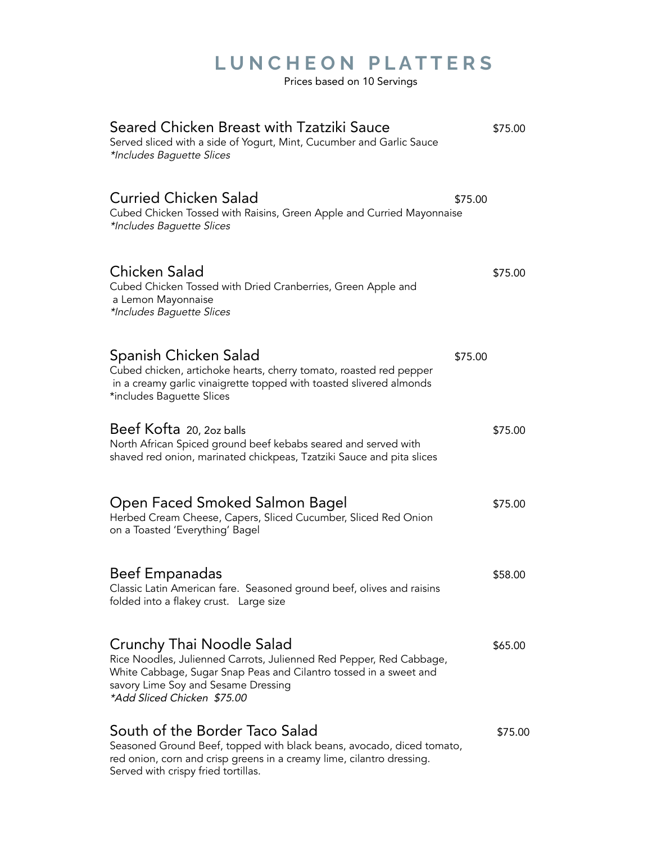# **L U N C H E O N P L A T T E R S**

Prices based on 10 Servings

| Seared Chicken Breast with Tzatziki Sauce<br>Served sliced with a side of Yogurt, Mint, Cucumber and Garlic Sauce<br>*Includes Baguette Slices                                                                                              | \$75.00 |
|---------------------------------------------------------------------------------------------------------------------------------------------------------------------------------------------------------------------------------------------|---------|
| <b>Curried Chicken Salad</b><br>\$75.00<br>Cubed Chicken Tossed with Raisins, Green Apple and Curried Mayonnaise<br>*Includes Baguette Slices                                                                                               |         |
| Chicken Salad<br>Cubed Chicken Tossed with Dried Cranberries, Green Apple and<br>a Lemon Mayonnaise<br>*Includes Baguette Slices                                                                                                            | \$75.00 |
| Spanish Chicken Salad<br>\$75.00<br>Cubed chicken, artichoke hearts, cherry tomato, roasted red pepper<br>in a creamy garlic vinaigrette topped with toasted slivered almonds<br>*includes Baguette Slices                                  |         |
| Beef Kofta 20, 2oz balls<br>North African Spiced ground beef kebabs seared and served with<br>shaved red onion, marinated chickpeas, Tzatziki Sauce and pita slices                                                                         | \$75.00 |
| Open Faced Smoked Salmon Bagel<br>Herbed Cream Cheese, Capers, Sliced Cucumber, Sliced Red Onion<br>on a Toasted 'Everything' Bagel                                                                                                         | \$75.00 |
| <b>Beef Empanadas</b><br>Classic Latin American fare. Seasoned ground beef, olives and raisins<br>folded into a flakey crust. Large size                                                                                                    | \$58.00 |
| Crunchy Thai Noodle Salad<br>Rice Noodles, Julienned Carrots, Julienned Red Pepper, Red Cabbage,<br>White Cabbage, Sugar Snap Peas and Cilantro tossed in a sweet and<br>savory Lime Soy and Sesame Dressing<br>*Add Sliced Chicken \$75.00 | \$65.00 |
| South of the Border Taco Salad<br>Seasoned Ground Beef, topped with black beans, avocado, diced tomato,<br>red onion, corn and crisp greens in a creamy lime, cilantro dressing.<br>Served with crispy fried tortillas.                     | \$75.00 |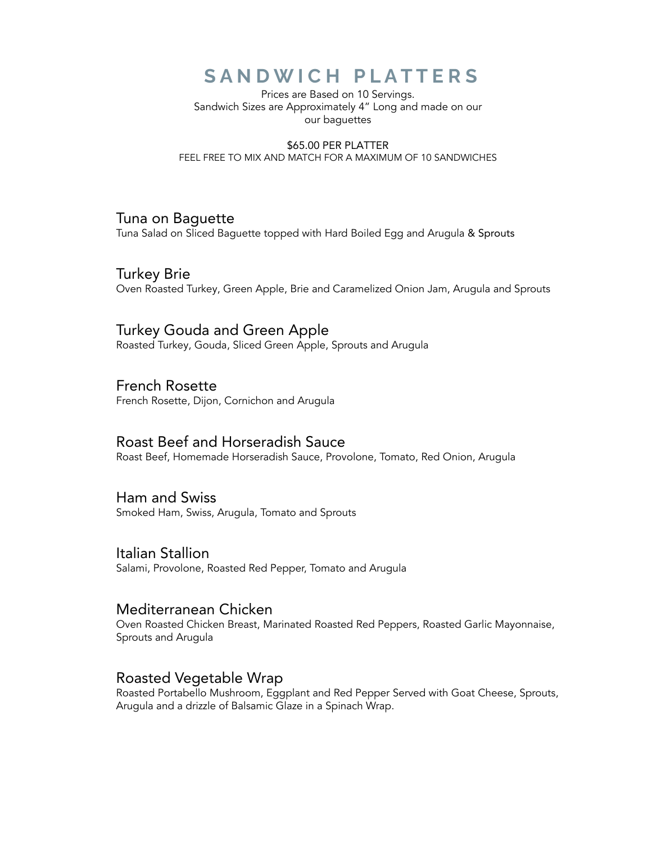### **S A N D W I C H P L A T T E R S**

Prices are Based on 10 Servings. Sandwich Sizes are Approximately 4" Long and made on our our baguettes

\$65.00 PER PLATTER FEEL FREE TO MIX AND MATCH FOR A MAXIMUM OF 10 SANDWICHES

#### Tuna on Baguette

Tuna Salad on Sliced Baguette topped with Hard Boiled Egg and Arugula & Sprouts

Turkey Brie Oven Roasted Turkey, Green Apple, Brie and Caramelized Onion Jam, Arugula and Sprouts

### Turkey Gouda and Green Apple

Roasted Turkey, Gouda, Sliced Green Apple, Sprouts and Arugula

#### French Rosette

French Rosette, Dijon, Cornichon and Arugula

#### Roast Beef and Horseradish Sauce

Roast Beef, Homemade Horseradish Sauce, Provolone, Tomato, Red Onion, Arugula

#### Ham and Swiss

Smoked Ham, Swiss, Arugula, Tomato and Sprouts

#### Italian Stallion

Salami, Provolone, Roasted Red Pepper, Tomato and Arugula

#### Mediterranean Chicken

Oven Roasted Chicken Breast, Marinated Roasted Red Peppers, Roasted Garlic Mayonnaise, Sprouts and Arugula

#### Roasted Vegetable Wrap

Roasted Portabello Mushroom, Eggplant and Red Pepper Served with Goat Cheese, Sprouts, Arugula and a drizzle of Balsamic Glaze in a Spinach Wrap.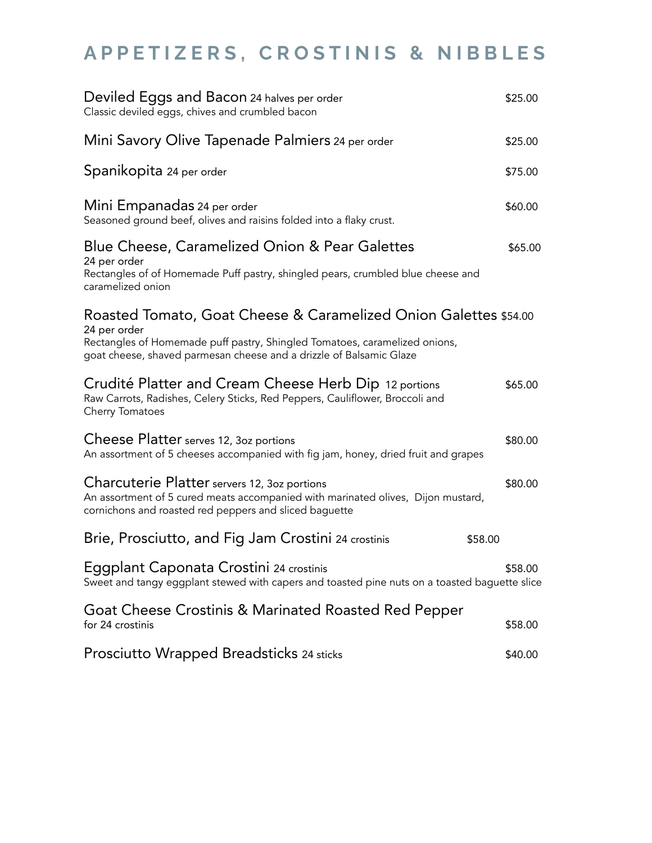# **A P P E T I Z E R S , C R O S T I N I S & N I B B L E S**

| Deviled Eggs and Bacon 24 halves per order<br>Classic deviled eggs, chives and crumbled bacon                                                                                                                                         |         |
|---------------------------------------------------------------------------------------------------------------------------------------------------------------------------------------------------------------------------------------|---------|
| Mini Savory Olive Tapenade Palmiers 24 per order                                                                                                                                                                                      | \$25.00 |
| Spanikopita 24 per order                                                                                                                                                                                                              | \$75.00 |
| Mini Empanadas 24 per order<br>Seasoned ground beef, olives and raisins folded into a flaky crust.                                                                                                                                    | \$60.00 |
| Blue Cheese, Caramelized Onion & Pear Galettes<br>24 per order                                                                                                                                                                        | \$65.00 |
| Rectangles of of Homemade Puff pastry, shingled pears, crumbled blue cheese and<br>caramelized onion                                                                                                                                  |         |
| Roasted Tomato, Goat Cheese & Caramelized Onion Galettes \$54.00<br>24 per order<br>Rectangles of Homemade puff pastry, Shingled Tomatoes, caramelized onions,<br>goat cheese, shaved parmesan cheese and a drizzle of Balsamic Glaze |         |
| Crudité Platter and Cream Cheese Herb Dip 12 portions<br>Raw Carrots, Radishes, Celery Sticks, Red Peppers, Cauliflower, Broccoli and<br>Cherry Tomatoes                                                                              | \$65.00 |
| Cheese Platter serves 12, 3oz portions<br>An assortment of 5 cheeses accompanied with fig jam, honey, dried fruit and grapes                                                                                                          | \$80.00 |
| Charcuterie Platter servers 12, 3oz portions<br>An assortment of 5 cured meats accompanied with marinated olives, Dijon mustard,<br>cornichons and roasted red peppers and sliced baguette                                            | \$80.00 |
| Brie, Prosciutto, and Fig Jam Crostini 24 crostinis<br>\$58.00                                                                                                                                                                        |         |
| Eggplant Caponata Crostini 24 crostinis<br>Sweet and tangy eggplant stewed with capers and toasted pine nuts on a toasted baguette slice                                                                                              | \$58.00 |
| Goat Cheese Crostinis & Marinated Roasted Red Pepper<br>for 24 crostinis                                                                                                                                                              | \$58.00 |
| Prosciutto Wrapped Breadsticks 24 sticks                                                                                                                                                                                              | \$40.00 |